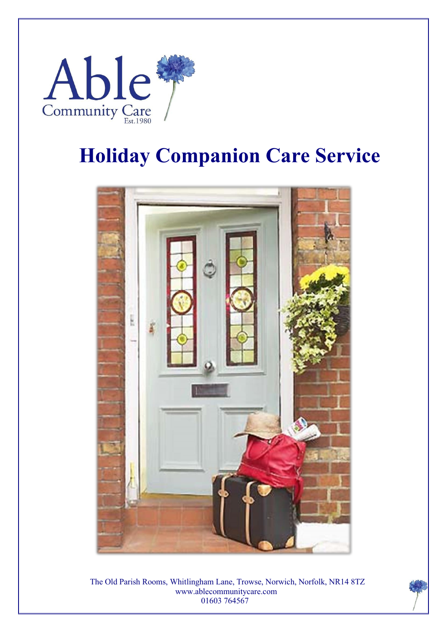

## **Holiday Companion Care Service**



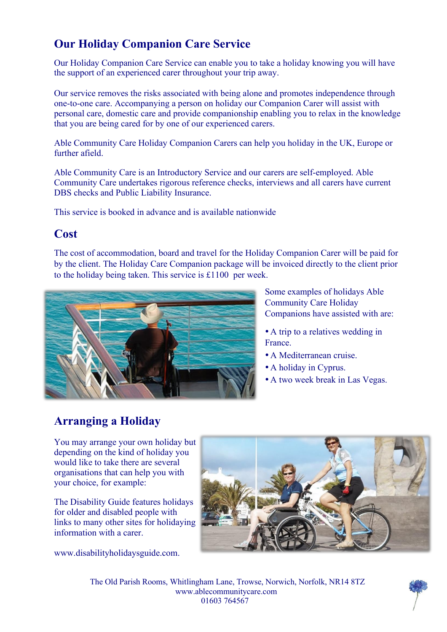### **Our Holiday Companion Care Service**

Our Holiday Companion Care Service can enable you to take a holiday knowing you will have the support of an experienced carer throughout your trip away.

Our service removes the risks associated with being alone and promotes independence through one-to-one care. Accompanying a person on holiday our Companion Carer will assist with personal care, domestic care and provide companionship enabling you to relax in the knowledge that you are being cared for by one of our experienced carers.

Able Community Care Holiday Companion Carers can help you holiday in the UK, Europe or further afield.

Able Community Care is an Introductory Service and our carers are self-employed. Able Community Care undertakes rigorous reference checks, interviews and all carers have current DBS checks and Public Liability Insurance.

This service is booked in advance and is available nationwide

#### **Cost**

The cost of accommodation, board and travel for the Holiday Companion Carer will be paid for by the client. The Holiday Care Companion package will be invoiced directly to the client prior to the holiday being taken. This service is £1100 per week.



Some examples of holidays Able Community Care Holiday Companions have assisted with are:

•A trip to a relatives wedding in **France** 

- •A Mediterranean cruise.
- •A holiday in Cyprus.
- •A two week break in Las Vegas.

## **Arranging a Holiday**

You may arrange your own holiday but depending on the kind of holiday you would like to take there are several organisations that can help you with your choice, for example:

The Disability Guide features holidays for older and disabled people with links to many other sites for holidaying information with a carer.

www.disabilityholidaysguide.com.



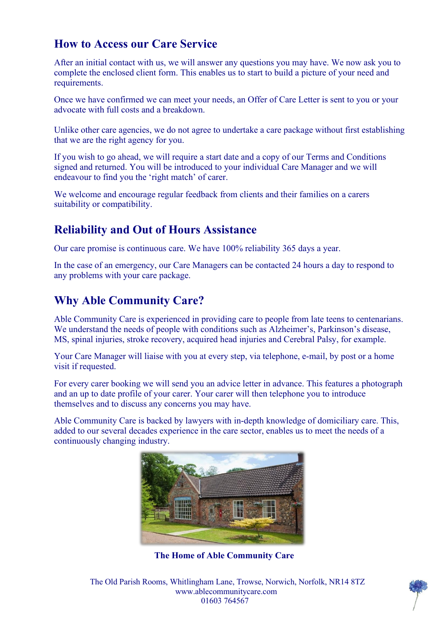#### **How to Access our Care Service**

After an initial contact with us, we will answer any questions you may have. We now ask you to complete the enclosed client form. This enables us to start to build a picture of your need and requirements.

Once we have confirmed we can meet your needs, an Offer of Care Letter is sent to you or your advocate with full costs and a breakdown.

Unlike other care agencies, we do not agree to undertake a care package without first establishing that we are the right agency for you.

If you wish to go ahead, we will require a start date and a copy of our Terms and Conditions signed and returned. You will be introduced to your individual Care Manager and we will endeavour to find you the 'right match' of carer.

We welcome and encourage regular feedback from clients and their families on a carers suitability or compatibility.

#### **Reliability and Out of Hours Assistance**

Our care promise is continuous care. We have 100% reliability 365 days a year.

In the case of an emergency, our Care Managers can be contacted 24 hours a day to respond to any problems with your care package.

#### **Why Able Community Care?**

Able Community Care is experienced in providing care to people from late teens to centenarians. We understand the needs of people with conditions such as Alzheimer's, Parkinson's disease, MS, spinal injuries, stroke recovery, acquired head injuries and Cerebral Palsy, for example.

Your Care Manager will liaise with you at every step, via telephone, e-mail, by post or a home visit if requested.

For every carer booking we will send you an advice letter in advance. This features a photograph and an up to date profile of your carer. Your carer will then telephone you to introduce themselves and to discuss any concerns you may have.

Able Community Care is backed by lawyers with in-depth knowledge of domiciliary care. This, added to our several decades experience in the care sector, enables us to meet the needs of a continuously changing industry.



**The Home of Able Community Care**